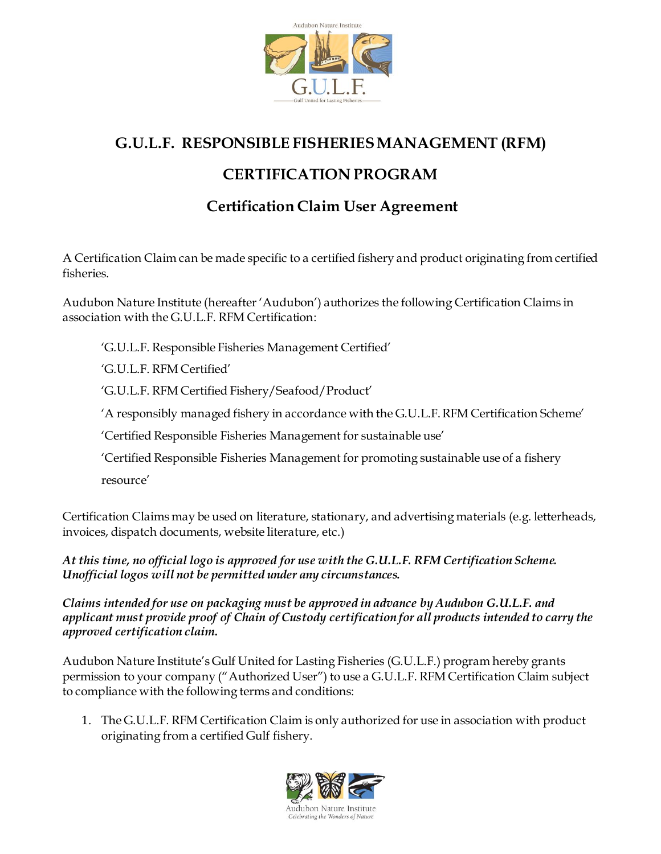

## **G.U.L.F. RESPONSIBLE FISHERIES MANAGEMENT (RFM)**

## **CERTIFICATION PROGRAM**

## **Certification Claim User Agreement**

A Certification Claim can be made specific to a certified fishery and product originating from certified fisheries.

Audubon Nature Institute (hereafter 'Audubon') authorizes the following Certification Claims in association with the G.U.L.F. RFM Certification:

'G.U.L.F. Responsible Fisheries Management Certified'

'G.U.L.F. RFM Certified'

'G.U.L.F. RFM Certified Fishery/Seafood/Product'

'A responsibly managed fishery in accordance with the G.U.L.F. RFM Certification Scheme'

'Certified Responsible Fisheries Management for sustainable use'

'Certified Responsible Fisheries Management for promoting sustainable use of a fishery

resource'

Certification Claims may be used on literature, stationary, and advertising materials (e.g. letterheads, invoices, dispatch documents, website literature, etc.)

*At this time, no official logo is approved for use with the G.U.L.F. RFM Certification Scheme. Unofficial logos will not be permitted under any circumstances.* 

*Claims intended for use on packaging must be approved in advance by Audubon G.U.L.F. and applicant must provide proof of Chain of Custody certification for all products intended to carry the approved certification claim.*

Audubon Nature Institute's Gulf United for Lasting Fisheries (G.U.L.F.) program hereby grants permission to your company ("Authorized User") to use a G.U.L.F. RFM Certification Claim subject to compliance with the following terms and conditions:

1. The G.U.L.F. RFM Certification Claim is only authorized for use in association with product originating from a certified Gulf fishery.

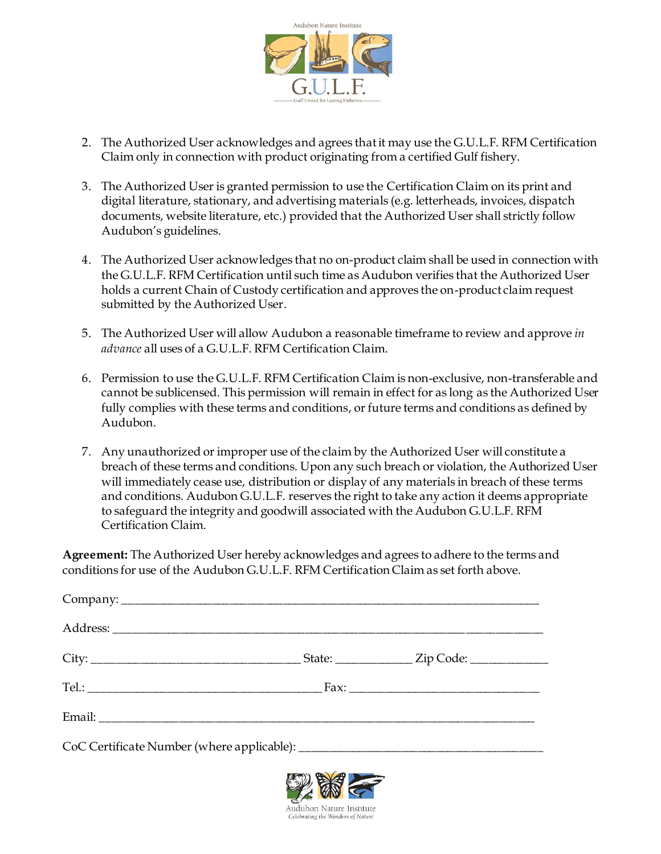

- 2. The Authorized User acknowledges and agrees that it may use the G.U.L.F. RFM Certification Claim only in connection with product originating from a certified Gulf fishery.
- 3. The Authorized User is granted permission to use the Certification Claim on its print and digital literature, stationary, and advertising materials (e.g. letterheads, invoices, dispatch documents, website literature, etc.) provided that the Authorized User shall strictly follow Audubon's guidelines.
- 4. The Authorized User acknowledges that no on-product claim shall be used in connection with the G.U.L.F. RFM Certification until such time as Audubon verifies that the Authorized User holds a current Chain of Custody certification and approves the on-product claim request submitted by the Authorized User.
- 5. The Authorized User will allow Audubon a reasonable timeframe to review and approve *in advance* all uses of a G.U.L.F. RFM Certification Claim.
- 6. Permission to use the G.U.L.F. RFM Certification Claim is non-exclusive, non-transferable and cannot be sublicensed. This permission will remain in effect for as long as the Authorized User fully complies with these terms and conditions, or future terms and conditions as defined by Audubon.
- 7. Any unauthorized or improper use of the claim by the Authorized User will constitute a breach of these terms and conditions. Upon any such breach or violation, the Authorized User will immediately cease use, distribution or display of any materials in breach of these terms and conditions. Audubon G.U.L.F. reserves the right to take any action it deems appropriate to safeguard the integrity and goodwill associated with the Audubon G.U.L.F. RFM Certification Claim.

**Agreement:** The Authorized User hereby acknowledges and agrees to adhere to the terms and conditions for use of the Audubon G.U.L.F. RFM Certification Claim as set forth above.